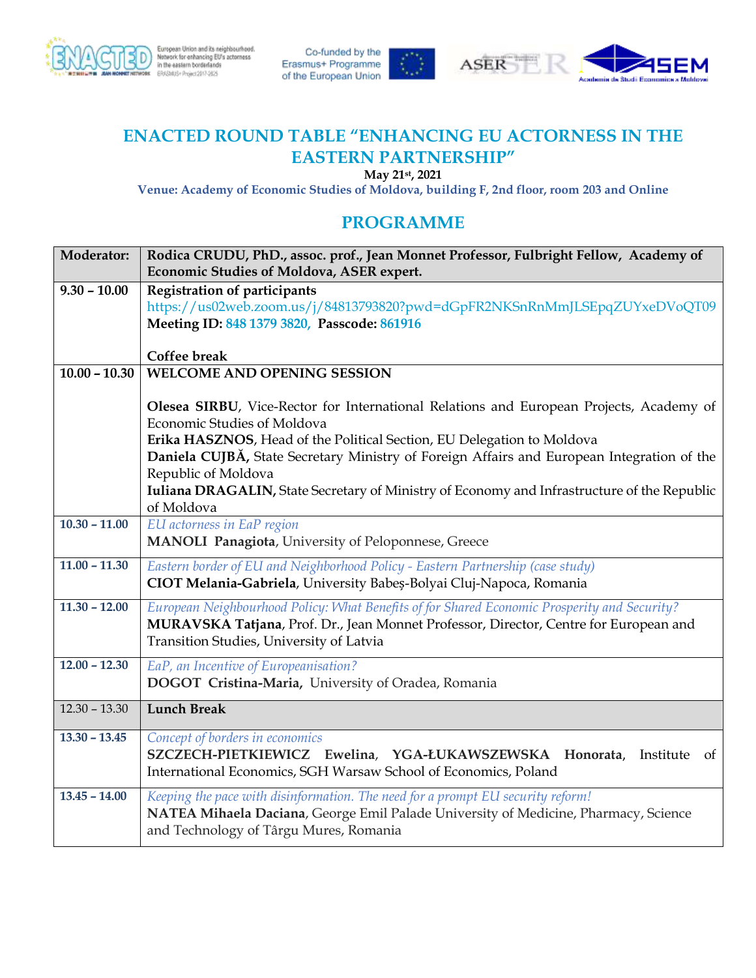

Co-funded by the<br>Erasmus+ Programme of the European Union





## **ENACTED ROUND TABLE "ENHANCING EU ACTORNESS IN THE EASTERN PARTNERSHIP"**

**May 21st, 2021**

**Venue: Academy of Economic Studies of Moldova, building F, 2nd floor, room 203 and Online**

## **PROGRAMME**

| <b>Moderator:</b> | Rodica CRUDU, PhD., assoc. prof., Jean Monnet Professor, Fulbright Fellow, Academy of                     |
|-------------------|-----------------------------------------------------------------------------------------------------------|
|                   | Economic Studies of Moldova, ASER expert.                                                                 |
| $9.30 - 10.00$    | <b>Registration of participants</b>                                                                       |
|                   | https://us02web.zoom.us/j/84813793820?pwd=dGpFR2NKSnRnMmJLSEpqZUYxeDVoQT09                                |
|                   | Meeting ID: 848 1379 3820, Passcode: 861916                                                               |
|                   |                                                                                                           |
|                   | Coffee break                                                                                              |
| $10.00 - 10.30$   | <b>WELCOME AND OPENING SESSION</b>                                                                        |
|                   |                                                                                                           |
|                   | Olesea SIRBU, Vice-Rector for International Relations and European Projects, Academy of                   |
|                   | Economic Studies of Moldova                                                                               |
|                   | Erika HASZNOS, Head of the Political Section, EU Delegation to Moldova                                    |
|                   | Daniela CUJBĂ, State Secretary Ministry of Foreign Affairs and European Integration of the                |
|                   | Republic of Moldova                                                                                       |
|                   | Iuliana DRAGALIN, State Secretary of Ministry of Economy and Infrastructure of the Republic<br>of Moldova |
| $10.30 - 11.00$   | EU actorness in EaP region                                                                                |
|                   | MANOLI Panagiota, University of Peloponnese, Greece                                                       |
|                   |                                                                                                           |
| $11.00 - 11.30$   | Eastern border of EU and Neighborhood Policy - Eastern Partnership (case study)                           |
|                   | CIOT Melania-Gabriela, University Babeș-Bolyai Cluj-Napoca, Romania                                       |
| $11.30 - 12.00$   | European Neighbourhood Policy: What Benefits of for Shared Economic Prosperity and Security?              |
|                   | MURAVSKA Tatjana, Prof. Dr., Jean Monnet Professor, Director, Centre for European and                     |
|                   | Transition Studies, University of Latvia                                                                  |
| $12.00 - 12.30$   | EaP, an Incentive of Europeanisation?                                                                     |
|                   | DOGOT Cristina-Maria, University of Oradea, Romania                                                       |
|                   |                                                                                                           |
| $12.30 - 13.30$   | <b>Lunch Break</b>                                                                                        |
| $13.30 - 13.45$   | Concept of borders in economics                                                                           |
|                   | SZCZECH-PIETKIEWICZ Ewelina, YGA-ŁUKAWSZEWSKA Honorata,<br>Institute<br><sub>of</sub>                     |
|                   | International Economics, SGH Warsaw School of Economics, Poland                                           |
| $13.45 - 14.00$   | Keeping the pace with disinformation. The need for a prompt EU security reform!                           |
|                   | NATEA Mihaela Daciana, George Emil Palade University of Medicine, Pharmacy, Science                       |
|                   | and Technology of Târgu Mures, Romania                                                                    |
|                   |                                                                                                           |